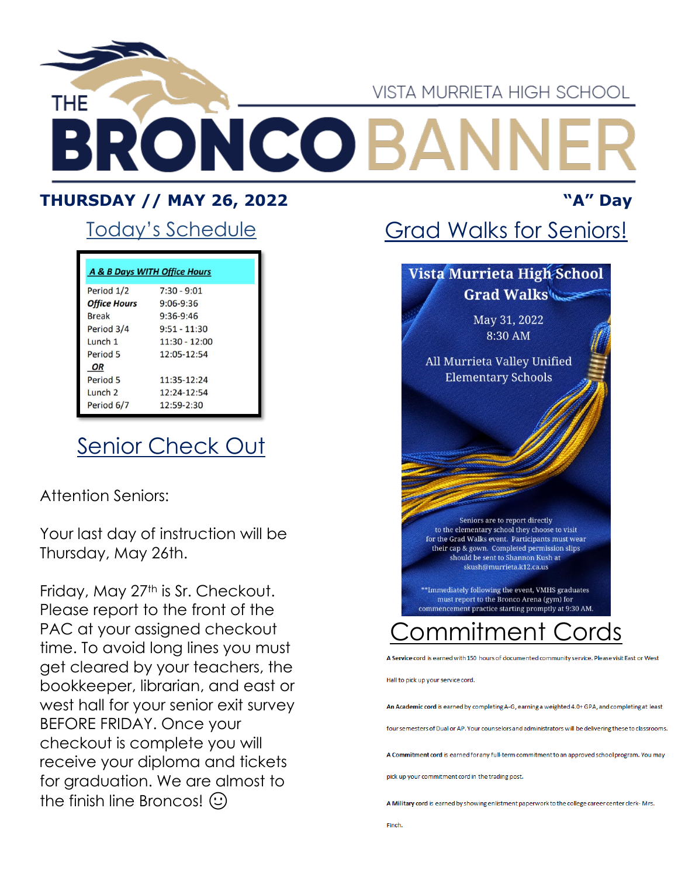

#### **THURSDAY // MAY 26, 2022 "A" Day**

### Today's Schedule

| A & B Days WITH Office Hours |                 |  |
|------------------------------|-----------------|--|
| Period 1/2                   | $7:30 - 9:01$   |  |
| <b>Office Hours</b>          | $9:06 - 9:36$   |  |
| <b>Break</b>                 | $9:36-9:46$     |  |
| Period 3/4                   | $9:51 - 11:30$  |  |
| Lunch 1                      | $11:30 - 12:00$ |  |
| Period 5                     | 12:05-12:54     |  |
| <b>OR</b>                    |                 |  |
| Period 5                     | $11:35-12:24$   |  |
| Lunch <sub>2</sub>           | $12:24-12:54$   |  |
| Period 6/7                   | $12:59-2:30$    |  |

## **Senior Check Out**

Attention Seniors:

Your last day of instruction will be Thursday, May 26th.

Friday, May 27<sup>th</sup> is Sr. Checkout. Please report to the front of the PAC at your assigned checkout time. To avoid long lines you must get cleared by your teachers, the bookkeeper, librarian, and east or west hall for your senior exit survey BEFORE FRIDAY. Once your checkout is complete you will receive your diploma and tickets for graduation. We are almost to the finish line Broncos!  $\odot$ 

## Grad Walks for Seniors!

#### Vista Murrieta High School Grad Walks

May 31, 2022 8:30 AM

All Murrieta Valley Unified **Elementary Schools** 

Seniors are to report directly to the elementary school they choose to visit for the Grad Walks event. Participants must wear their cap & gown. Completed permission slips should be sent to Shannon Kush at skush@murrieta.k12.ca.us

\*Immediately following the event, VMHS graduates must report to the Bronco Arena (gym) for commencement practice starting promptly at 9:30 AM.

# ommitmen

A Service cord is earned with 150 hours of documented community service. Please visit East or West

Hall to pick up your service cord.

An Academic cord is earned by completing A-G, earning a weighted 4.0+ GPA, and completing at least

four semesters of Dual or AP. Your counselors and administrators will be delivering these to classrooms

A Commitment cord is earned for any full-term commitment to an approved school program. You may

pick up your commitment cord in the trading post.

A Military cord is earned by showing enlistment paperwork to the college career center clerk-Mrs.